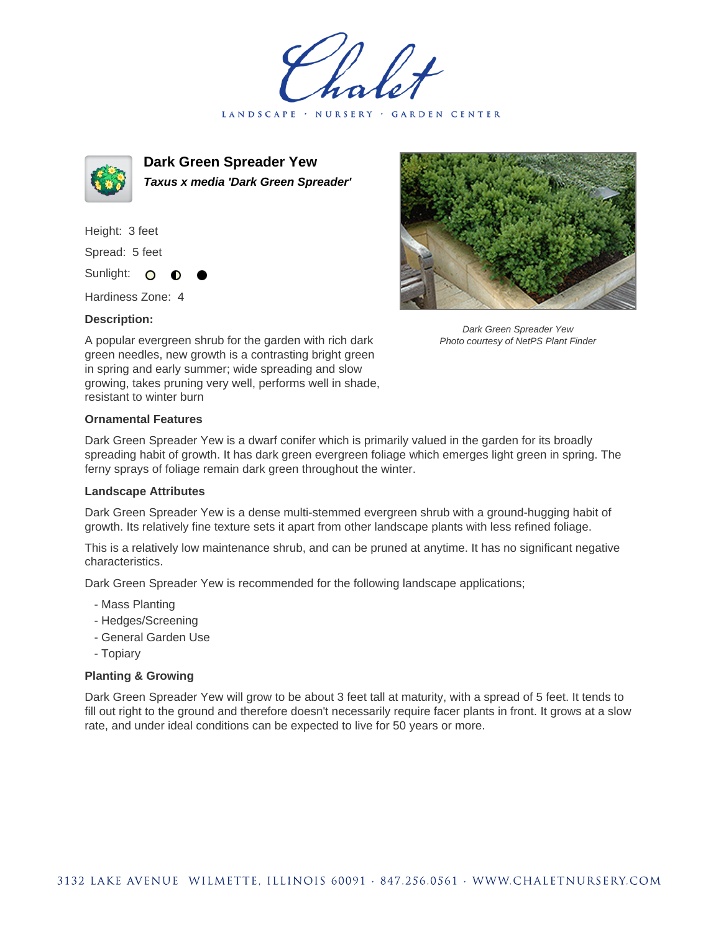LANDSCAPE · NURSERY · GARDEN CENTER



**Dark Green Spreader Yew Taxus x media 'Dark Green Spreader'**

Height: 3 feet Spread: 5 feet

Sunlight: O

Hardiness Zone: 4

## **Description:**



Dark Green Spreader Yew Photo courtesy of NetPS Plant Finder

A popular evergreen shrub for the garden with rich dark green needles, new growth is a contrasting bright green in spring and early summer; wide spreading and slow growing, takes pruning very well, performs well in shade, resistant to winter burn

## **Ornamental Features**

Dark Green Spreader Yew is a dwarf conifer which is primarily valued in the garden for its broadly spreading habit of growth. It has dark green evergreen foliage which emerges light green in spring. The ferny sprays of foliage remain dark green throughout the winter.

## **Landscape Attributes**

Dark Green Spreader Yew is a dense multi-stemmed evergreen shrub with a ground-hugging habit of growth. Its relatively fine texture sets it apart from other landscape plants with less refined foliage.

This is a relatively low maintenance shrub, and can be pruned at anytime. It has no significant negative characteristics.

Dark Green Spreader Yew is recommended for the following landscape applications;

- Mass Planting
- Hedges/Screening
- General Garden Use
- Topiary

## **Planting & Growing**

Dark Green Spreader Yew will grow to be about 3 feet tall at maturity, with a spread of 5 feet. It tends to fill out right to the ground and therefore doesn't necessarily require facer plants in front. It grows at a slow rate, and under ideal conditions can be expected to live for 50 years or more.